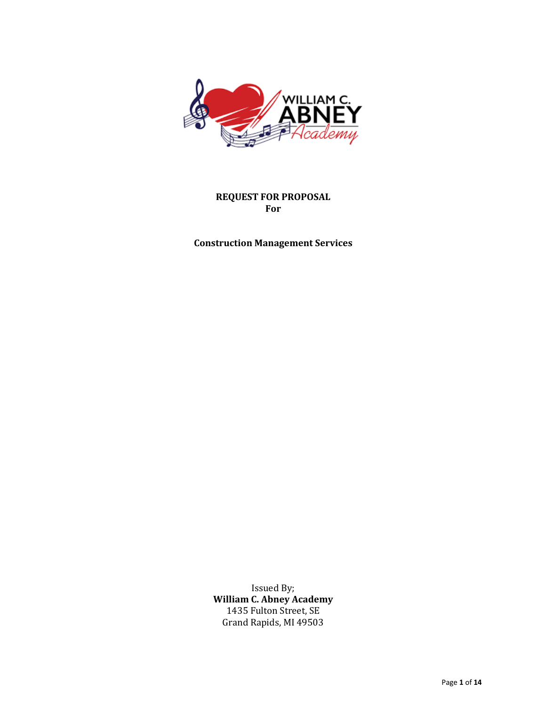

**REQUEST FOR PROPOSAL For**

**Construction Management Services**

Issued By; **William C. Abney Academy** 1435 Fulton Street, SE Grand Rapids, MI 49503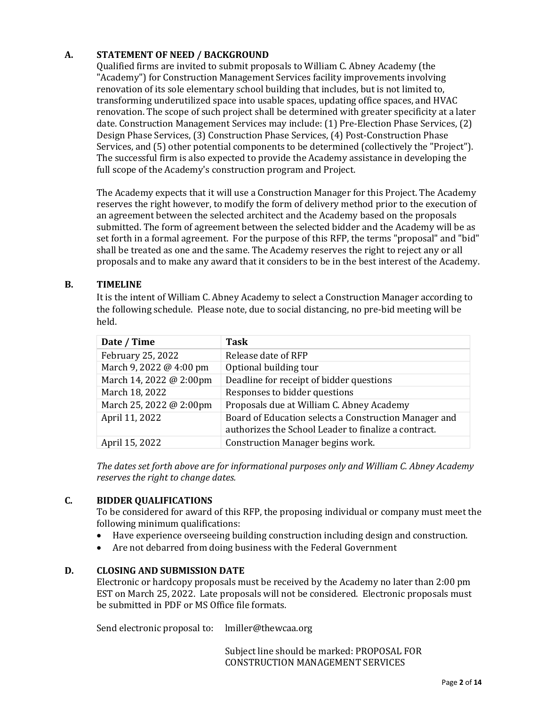# **A. STATEMENT OF NEED / BACKGROUND**

Qualified firms are invited to submit proposals to William C. Abney Academy (the "Academy") for Construction Management Services facility improvements involving renovation of its sole elementary school building that includes, but is not limited to, transforming underutilized space into usable spaces, updating office spaces, and HVAC renovation. The scope of such project shall be determined with greater specificity at a later date. Construction Management Services may include: (1) Pre-Election Phase Services, (2) Design Phase Services, (3) Construction Phase Services, (4) Post-Construction Phase Services, and (5) other potential components to be determined (collectively the "Project"). The successful firm is also expected to provide the Academy assistance in developing the full scope of the Academy's construction program and Project.

The Academy expects that it will use a Construction Manager for this Project. The Academy reserves the right however, to modify the form of delivery method prior to the execution of an agreement between the selected architect and the Academy based on the proposals submitted. The form of agreement between the selected bidder and the Academy will be as set forth in a formal agreement. For the purpose of this RFP, the terms "proposal" and "bid" shall be treated as one and the same. The Academy reserves the right to reject any or all proposals and to make any award that it considers to be in the best interest of the Academy.

## **B. TIMELINE**

It is the intent of William C. Abney Academy to select a Construction Manager according to the following schedule. Please note, due to social distancing, no pre-bid meeting will be held.

| Date / Time             | <b>Task</b>                                                                                                   |
|-------------------------|---------------------------------------------------------------------------------------------------------------|
| February 25, 2022       | Release date of RFP                                                                                           |
| March 9, 2022 @ 4:00 pm | Optional building tour                                                                                        |
| March 14, 2022 @ 2:00pm | Deadline for receipt of bidder questions                                                                      |
| March 18, 2022          | Responses to bidder questions                                                                                 |
| March 25, 2022 @ 2:00pm | Proposals due at William C. Abney Academy                                                                     |
| April 11, 2022          | Board of Education selects a Construction Manager and<br>authorizes the School Leader to finalize a contract. |
| April 15, 2022          | Construction Manager begins work.                                                                             |

The dates set forth above are for informational purposes only and William C. Abney Academy *reserves the right to change dates.* 

# **C. BIDDER QUALIFICATIONS**

To be considered for award of this RFP, the proposing individual or company must meet the following minimum qualifications:

- Have experience overseeing building construction including design and construction.
- Are not debarred from doing business with the Federal Government

## **D. CLOSING AND SUBMISSION DATE**

Electronic or hardcopy proposals must be received by the Academy no later than 2:00 pm EST on March 25, 2022. Late proposals will not be considered. Electronic proposals must be submitted in PDF or MS Office file formats.

Send electronic proposal to: lmiller@thewcaa.org

Subject line should be marked: PROPOSAL FOR CONSTRUCTION MANAGEMENT SERVICES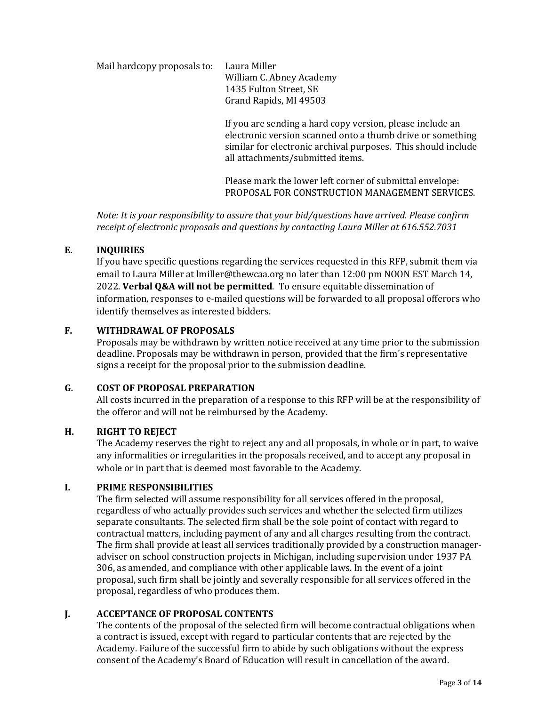Mail hardcopy proposals to: Laura Miller William C. Abney Academy 1435 Fulton Street, SE Grand Rapids, MI 49503

> If you are sending a hard copy version, please include an electronic version scanned onto a thumb drive or something similar for electronic archival purposes. This should include all attachments/submitted items.

> Please mark the lower left corner of submittal envelope: PROPOSAL FOR CONSTRUCTION MANAGEMENT SERVICES.

*Note: It is your responsibility to assure that your bid/questions have arrived. Please confirm* receipt of electronic proposals and questions by contacting Laura Miller at 616.552.7031

# **E. INQUIRIES**

If you have specific questions regarding the services requested in this RFP, submit them via email to Laura Miller at lmiller@thewcaa.org no later than 12:00 pm NOON EST March 14, 2022. Verbal O&A will not be permitted. To ensure equitable dissemination of information, responses to e-mailed questions will be forwarded to all proposal offerors who identify themselves as interested bidders.

## **F. WITHDRAWAL OF PROPOSALS**

Proposals may be withdrawn by written notice received at any time prior to the submission deadline. Proposals may be withdrawn in person, provided that the firm's representative signs a receipt for the proposal prior to the submission deadline.

#### **G. COST OF PROPOSAL PREPARATION**

All costs incurred in the preparation of a response to this RFP will be at the responsibility of the offeror and will not be reimbursed by the Academy.

#### **H. RIGHT TO REJECT**

The Academy reserves the right to reject any and all proposals, in whole or in part, to waive any informalities or irregularities in the proposals received, and to accept any proposal in whole or in part that is deemed most favorable to the Academy.

#### **I. PRIME RESPONSIBILITIES**

The firm selected will assume responsibility for all services offered in the proposal, regardless of who actually provides such services and whether the selected firm utilizes separate consultants. The selected firm shall be the sole point of contact with regard to contractual matters, including payment of any and all charges resulting from the contract. The firm shall provide at least all services traditionally provided by a construction manageradviser on school construction projects in Michigan, including supervision under 1937 PA 306, as amended, and compliance with other applicable laws. In the event of a joint proposal, such firm shall be jointly and severally responsible for all services offered in the proposal, regardless of who produces them.

#### **J. ACCEPTANCE OF PROPOSAL CONTENTS**

The contents of the proposal of the selected firm will become contractual obligations when a contract is issued, except with regard to particular contents that are rejected by the Academy. Failure of the successful firm to abide by such obligations without the express consent of the Academy's Board of Education will result in cancellation of the award.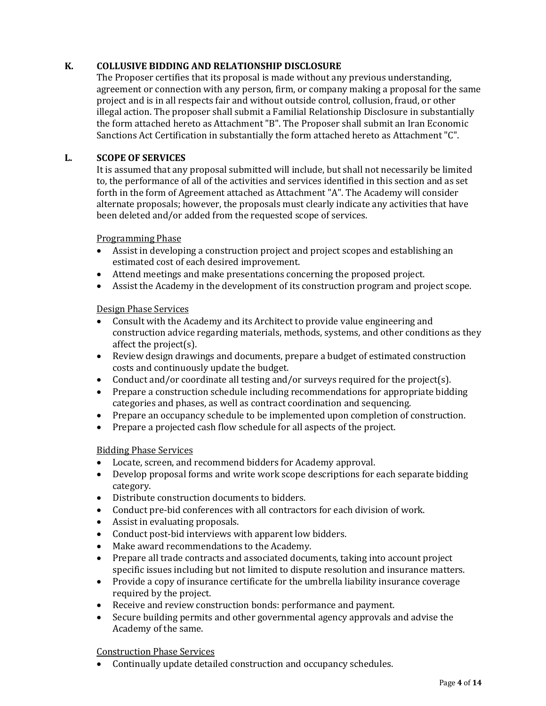# K. **COLLUSIVE BIDDING AND RELATIONSHIP DISCLOSURE**

The Proposer certifies that its proposal is made without any previous understanding, agreement or connection with any person, firm, or company making a proposal for the same project and is in all respects fair and without outside control, collusion, fraud, or other illegal action. The proposer shall submit a Familial Relationship Disclosure in substantially the form attached hereto as Attachment "B". The Proposer shall submit an Iran Economic Sanctions Act Certification in substantially the form attached hereto as Attachment "C".

## L. **SCOPE OF SERVICES**

It is assumed that any proposal submitted will include, but shall not necessarily be limited to, the performance of all of the activities and services identified in this section and as set forth in the form of Agreement attached as Attachment "A". The Academy will consider alternate proposals; however, the proposals must clearly indicate any activities that have been deleted and/or added from the requested scope of services.

**Programming Phase** 

- Assist in developing a construction project and project scopes and establishing an estimated cost of each desired improvement.
- Attend meetings and make presentations concerning the proposed project.
- Assist the Academy in the development of its construction program and project scope.

## Design Phase Services

- Consult with the Academy and its Architect to provide value engineering and construction advice regarding materials, methods, systems, and other conditions as they affect the project $(s)$ .
- Review design drawings and documents, prepare a budget of estimated construction costs and continuously update the budget.
- Conduct and/or coordinate all testing and/or surveys required for the project(s).
- Prepare a construction schedule including recommendations for appropriate bidding categories and phases, as well as contract coordination and sequencing.
- Prepare an occupancy schedule to be implemented upon completion of construction.
- Prepare a projected cash flow schedule for all aspects of the project.

#### Bidding Phase Services

- Locate, screen, and recommend bidders for Academy approval.
- Develop proposal forms and write work scope descriptions for each separate bidding category.
- Distribute construction documents to bidders.
- Conduct pre-bid conferences with all contractors for each division of work.
- Assist in evaluating proposals.
- Conduct post-bid interviews with apparent low bidders.
- Make award recommendations to the Academy.
- Prepare all trade contracts and associated documents, taking into account project specific issues including but not limited to dispute resolution and insurance matters.
- Provide a copy of insurance certificate for the umbrella liability insurance coverage required by the project.
- Receive and review construction bonds: performance and payment.
- Secure building permits and other governmental agency approvals and advise the Academy of the same.

Construction Phase Services

• Continually update detailed construction and occupancy schedules.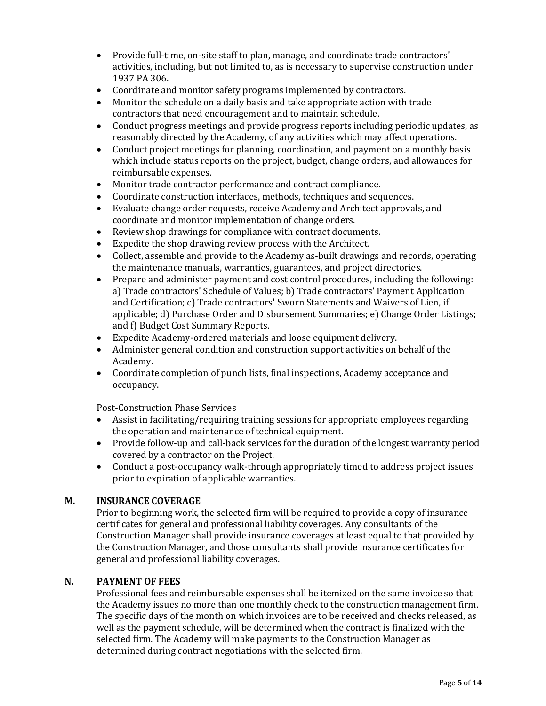- Provide full-time, on-site staff to plan, manage, and coordinate trade contractors' activities, including, but not limited to, as is necessary to supervise construction under 1937 PA 306.
- Coordinate and monitor safety programs implemented by contractors.
- Monitor the schedule on a daily basis and take appropriate action with trade contractors that need encouragement and to maintain schedule.
- Conduct progress meetings and provide progress reports including periodic updates, as reasonably directed by the Academy, of any activities which may affect operations.
- Conduct project meetings for planning, coordination, and payment on a monthly basis which include status reports on the project, budget, change orders, and allowances for reimbursable expenses.
- Monitor trade contractor performance and contract compliance.
- Coordinate construction interfaces, methods, techniques and sequences.
- Evaluate change order requests, receive Academy and Architect approvals, and coordinate and monitor implementation of change orders.
- Review shop drawings for compliance with contract documents.
- Expedite the shop drawing review process with the Architect.
- Collect, assemble and provide to the Academy as-built drawings and records, operating the maintenance manuals, warranties, guarantees, and project directories.
- Prepare and administer payment and cost control procedures, including the following: a) Trade contractors' Schedule of Values; b) Trade contractors' Payment Application and Certification; c) Trade contractors' Sworn Statements and Waivers of Lien, if applicable; d) Purchase Order and Disbursement Summaries; e) Change Order Listings; and f) Budget Cost Summary Reports.
- Expedite Academy-ordered materials and loose equipment delivery.
- Administer general condition and construction support activities on behalf of the Academy.
- Coordinate completion of punch lists, final inspections, Academy acceptance and occupancy.

Post-Construction Phase Services

- Assist in facilitating/requiring training sessions for appropriate employees regarding the operation and maintenance of technical equipment.
- Provide follow-up and call-back services for the duration of the longest warranty period covered by a contractor on the Project.
- Conduct a post-occupancy walk-through appropriately timed to address project issues prior to expiration of applicable warranties.

#### **M. INSURANCE COVERAGE**

Prior to beginning work, the selected firm will be required to provide a copy of insurance certificates for general and professional liability coverages. Any consultants of the Construction Manager shall provide insurance coverages at least equal to that provided by the Construction Manager, and those consultants shall provide insurance certificates for general and professional liability coverages.

#### **N. PAYMENT OF FEES**

Professional fees and reimbursable expenses shall be itemized on the same invoice so that the Academy issues no more than one monthly check to the construction management firm. The specific days of the month on which invoices are to be received and checks released, as well as the payment schedule, will be determined when the contract is finalized with the selected firm. The Academy will make payments to the Construction Manager as determined during contract negotiations with the selected firm.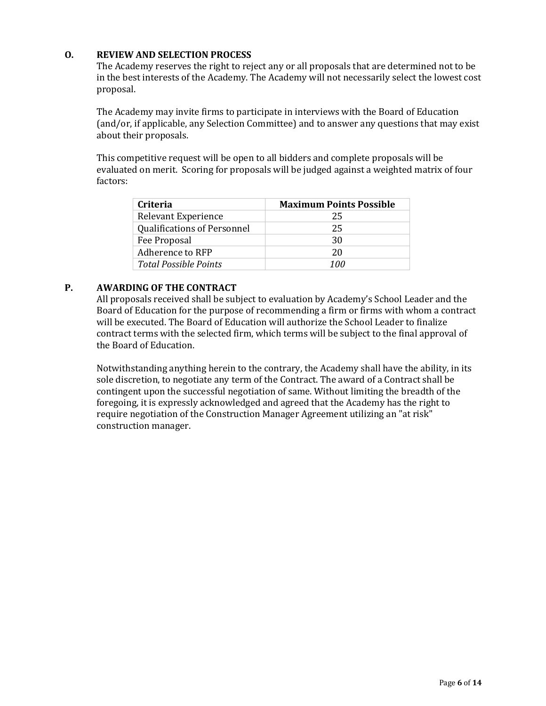## **O. REVIEW AND SELECTION PROCESS**

The Academy reserves the right to reject any or all proposals that are determined not to be in the best interests of the Academy. The Academy will not necessarily select the lowest cost proposal.

The Academy may invite firms to participate in interviews with the Board of Education (and/or, if applicable, any Selection Committee) and to answer any questions that may exist about their proposals.

This competitive request will be open to all bidders and complete proposals will be evaluated on merit. Scoring for proposals will be judged against a weighted matrix of four factors: 

| <b>Criteria</b>                    | <b>Maximum Points Possible</b> |
|------------------------------------|--------------------------------|
| Relevant Experience                | 25                             |
| <b>Qualifications of Personnel</b> | 25                             |
| Fee Proposal                       | 30                             |
| Adherence to RFP                   | 20                             |
| <b>Total Possible Points</b>       | 100                            |

## P. **AWARDING OF THE CONTRACT**

All proposals received shall be subject to evaluation by Academy's School Leader and the Board of Education for the purpose of recommending a firm or firms with whom a contract will be executed. The Board of Education will authorize the School Leader to finalize contract terms with the selected firm, which terms will be subject to the final approval of the Board of Education.

Notwithstanding anything herein to the contrary, the Academy shall have the ability, in its sole discretion, to negotiate any term of the Contract. The award of a Contract shall be contingent upon the successful negotiation of same. Without limiting the breadth of the foregoing, it is expressly acknowledged and agreed that the Academy has the right to require negotiation of the Construction Manager Agreement utilizing an "at risk" construction manager.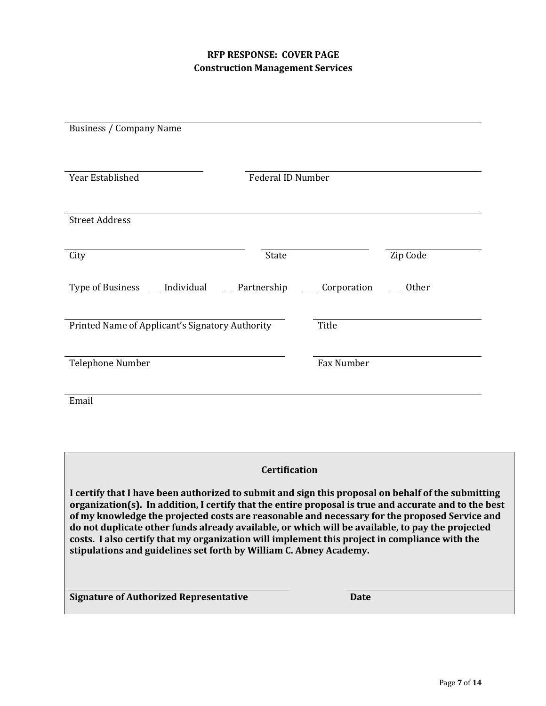# **RFP RESPONSE: COVER PAGE Construction Management Services**

| <b>Business / Company Name</b>                  |                      |             |          |
|-------------------------------------------------|----------------------|-------------|----------|
| Year Established                                | Federal ID Number    |             |          |
| <b>Street Address</b>                           |                      |             |          |
|                                                 |                      |             |          |
| City                                            | State                |             | Zip Code |
| Type of Business __ Individual __ Partnership   |                      | Corporation | Other    |
| Printed Name of Applicant's Signatory Authority |                      | Title       |          |
| Telephone Number                                |                      | Fax Number  |          |
| Email                                           |                      |             |          |
|                                                 |                      |             |          |
|                                                 | <b>Certification</b> |             |          |

I certify that I have been authorized to submit and sign this proposal on behalf of the submitting organization(s). In addition, I certify that the entire proposal is true and accurate and to the best of my knowledge the projected costs are reasonable and necessary for the proposed Service and do not duplicate other funds already available, or which will be available, to pay the projected costs. I also certify that my organization will implement this project in compliance with the stipulations and guidelines set forth by William C. Abney Academy.

**Signature of Authorized Representative <b>Date Date**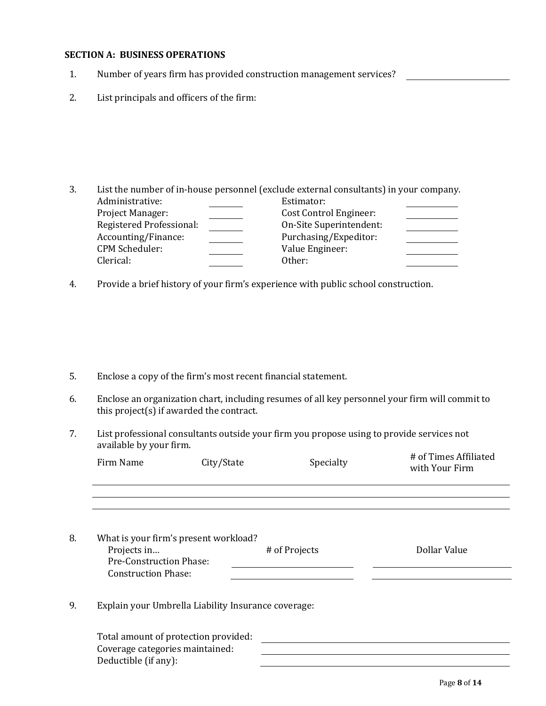#### **SECTION A: BUSINESS OPERATIONS**

- 1. Number of years firm has provided construction management services?
- 2. List principals and officers of the firm:

- 3. List the number of in-house personnel (exclude external consultants) in your company. Administrative: Estimator: Project Manager: Cost Control Engineer: Registered Professional: Comes Con-Site Superintendent: Accounting/Finance: Purchasing/Expeditor: CPM Scheduler: Value Engineer: Clerical: Other:
- 4. Provide a brief history of your firm's experience with public school construction.

- 5. Enclose a copy of the firm's most recent financial statement.
- 6. Enclose an organization chart, including resumes of all key personnel your firm will commit to this  $project(s)$  if awarded the contract.
- 7. List professional consultants outside your firm you propose using to provide services not available by your firm.

|    | Firm Name                                                                   | City/State                                          | Specialty     | # of Times Affiliated<br>with Your Firm |
|----|-----------------------------------------------------------------------------|-----------------------------------------------------|---------------|-----------------------------------------|
|    |                                                                             |                                                     |               |                                         |
| 8. | Projects in<br><b>Pre-Construction Phase:</b><br><b>Construction Phase:</b> | What is your firm's present workload?               | # of Projects | Dollar Value                            |
| 9. |                                                                             | Explain your Umbrella Liability Insurance coverage: |               |                                         |
|    | Coverage categories maintained:<br>Deductible (if any):                     | Total amount of protection provided:                |               |                                         |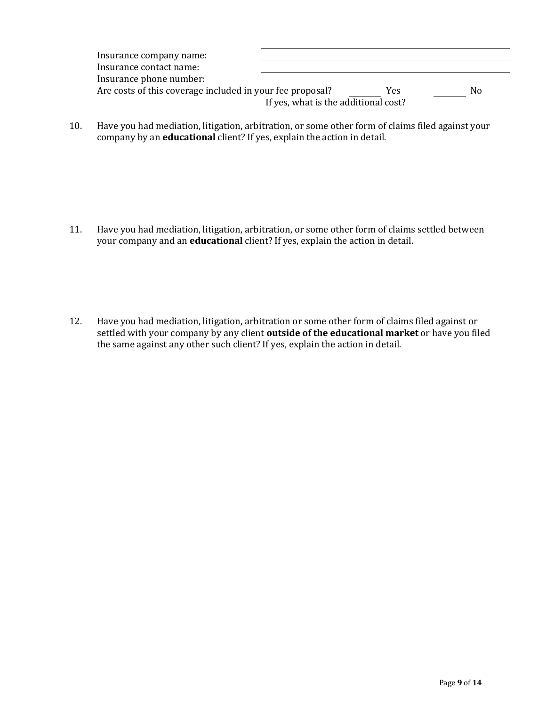| Insurance company name:                                   |                                      |     |    |
|-----------------------------------------------------------|--------------------------------------|-----|----|
| Insurance contact name:                                   |                                      |     |    |
| Insurance phone number:                                   |                                      |     |    |
| Are costs of this coverage included in your fee proposal? |                                      | Yes | Nο |
|                                                           | If yes, what is the additional cost? |     |    |
|                                                           |                                      |     |    |

10. Have you had mediation, litigation, arbitration, or some other form of claims filed against your company by an **educational** client? If yes, explain the action in detail.

- 11. Have you had mediation, litigation, arbitration, or some other form of claims settled between your company and an **educational** client? If yes, explain the action in detail.
- 12. Have you had mediation, litigation, arbitration or some other form of claims filed against or settled with your company by any client **outside of the educational market** or have you filed the same against any other such client? If yes, explain the action in detail.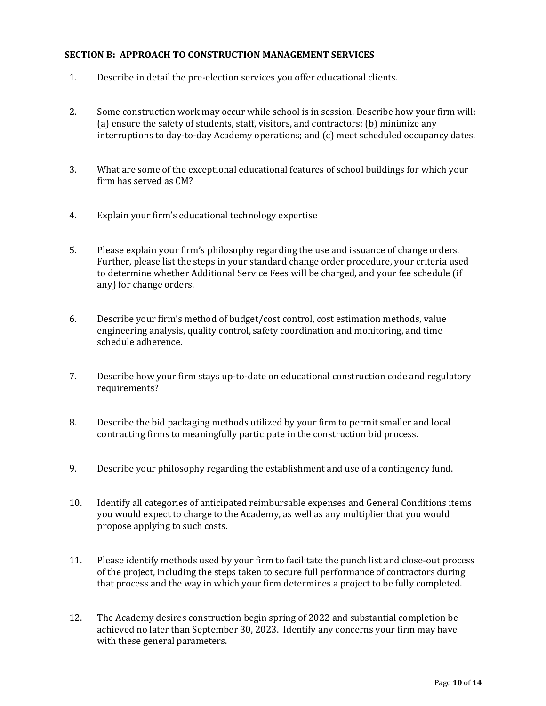## **SECTION B: APPROACH TO CONSTRUCTION MANAGEMENT SERVICES**

- 1. Describe in detail the pre-election services you offer educational clients.
- 2. Some construction work may occur while school is in session. Describe how your firm will: (a) ensure the safety of students, staff, visitors, and contractors; (b) minimize any interruptions to day-to-day Academy operations; and  $(c)$  meet scheduled occupancy dates.
- 3. What are some of the exceptional educational features of school buildings for which your firm has served as CM?
- 4. Explain your firm's educational technology expertise
- 5. Please explain your firm's philosophy regarding the use and issuance of change orders. Further, please list the steps in your standard change order procedure, your criteria used to determine whether Additional Service Fees will be charged, and your fee schedule (if any) for change orders.
- 6. Describe your firm's method of budget/cost control, cost estimation methods, value engineering analysis, quality control, safety coordination and monitoring, and time schedule adherence.
- 7. Describe how your firm stays up-to-date on educational construction code and regulatory requirements?
- 8. Describe the bid packaging methods utilized by your firm to permit smaller and local contracting firms to meaningfully participate in the construction bid process.
- 9. Describe your philosophy regarding the establishment and use of a contingency fund.
- 10. Identify all categories of anticipated reimbursable expenses and General Conditions items you would expect to charge to the Academy, as well as any multiplier that you would propose applying to such costs.
- 11. Please identify methods used by your firm to facilitate the punch list and close-out process of the project, including the steps taken to secure full performance of contractors during that process and the way in which your firm determines a project to be fully completed.
- 12. The Academy desires construction begin spring of 2022 and substantial completion be achieved no later than September 30, 2023. Identify any concerns your firm may have with these general parameters.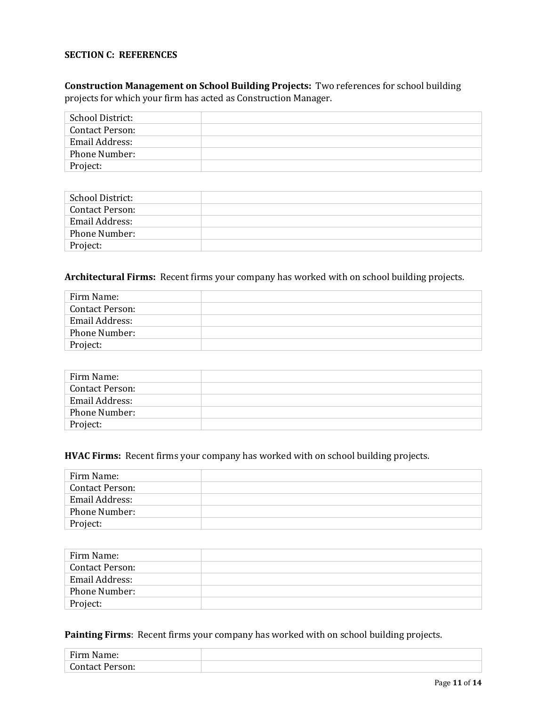## **SECTION C: REFERENCES**

# **Construction Management on School Building Projects:** Two references for school building projects for which your firm has acted as Construction Manager.

| School District:       |  |
|------------------------|--|
| <b>Contact Person:</b> |  |
| Email Address:         |  |
| Phone Number:          |  |
| Project:               |  |

| School District: |  |
|------------------|--|
| Contact Person:  |  |
| Email Address:   |  |
| Phone Number:    |  |
| Project:         |  |

# Architectural Firms: Recent firms your company has worked with on school building projects.

| Firm Name:             |  |
|------------------------|--|
| <b>Contact Person:</b> |  |
| Email Address:         |  |
| Phone Number:          |  |
| Project:               |  |

| Firm Name:             |  |
|------------------------|--|
| <b>Contact Person:</b> |  |
| Email Address:         |  |
| Phone Number:          |  |
| Project:               |  |

#### **HVAC Firms:** Recent firms your company has worked with on school building projects.

| Firm Name:             |  |
|------------------------|--|
| <b>Contact Person:</b> |  |
| Email Address:         |  |
| Phone Number:          |  |
| Project:               |  |

| Firm Name:             |  |
|------------------------|--|
| <b>Contact Person:</b> |  |
| Email Address:         |  |
| <b>Phone Number:</b>   |  |
| Project:               |  |

Painting Firms: Recent firms your company has worked with on school building projects.

| Firm<br>$ -$<br>Tie.<br>.      |  |
|--------------------------------|--|
| $C$ and $\alpha$<br>.<br>_____ |  |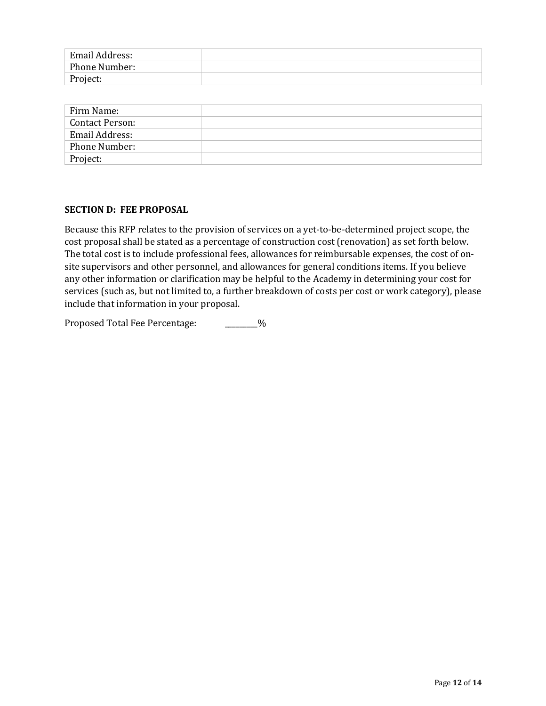| Email Address: |  |
|----------------|--|
| Phone Number:  |  |
| Project:       |  |

| Firm Name:             |  |
|------------------------|--|
| <b>Contact Person:</b> |  |
| Email Address:         |  |
| Phone Number:          |  |
| Project:               |  |

## **SECTION D: FEE PROPOSAL**

Because this RFP relates to the provision of services on a yet-to-be-determined project scope, the cost proposal shall be stated as a percentage of construction cost (renovation) as set forth below. The total cost is to include professional fees, allowances for reimbursable expenses, the cost of onsite supervisors and other personnel, and allowances for general conditions items. If you believe any other information or clarification may be helpful to the Academy in determining your cost for services (such as, but not limited to, a further breakdown of costs per cost or work category), please include that information in your proposal.

Proposed Total Fee Percentage: \_\_\_\_\_\_\_\_%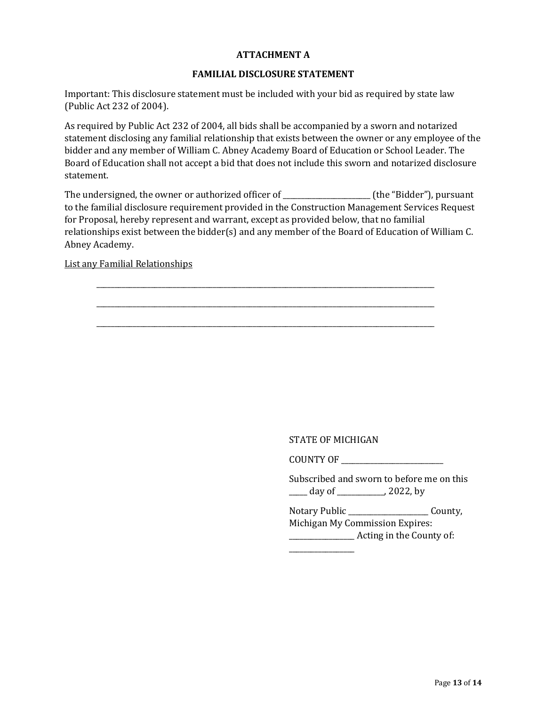# **ATTACHMENT A**

## **FAMILIAL DISCLOSURE STATEMENT**

Important: This disclosure statement must be included with your bid as required by state law (Public Act 232 of 2004). 

As required by Public Act 232 of 2004, all bids shall be accompanied by a sworn and notarized statement disclosing any familial relationship that exists between the owner or any employee of the bidder and any member of William C. Abney Academy Board of Education or School Leader. The Board of Education shall not accept a bid that does not include this sworn and notarized disclosure statement. 

The undersigned, the owner or authorized officer of The Metal Che "Bidder"), pursuant to the familial disclosure requirement provided in the Construction Management Services Request for Proposal, hereby represent and warrant, except as provided below, that no familial relationships exist between the bidder(s) and any member of the Board of Education of William C. Abney Academy. 

\_\_\_\_\_\_\_\_\_\_\_\_\_\_\_\_\_\_\_\_\_\_\_\_\_\_\_\_\_\_\_\_\_\_\_\_\_\_\_\_\_\_\_\_\_\_\_\_\_\_\_\_\_\_\_\_\_\_\_\_\_\_\_\_\_\_\_\_\_\_\_\_\_\_\_\_\_\_\_\_\_\_\_\_\_\_\_\_\_\_\_\_\_

\_\_\_\_\_\_\_\_\_\_\_\_\_\_\_\_\_\_\_\_\_\_\_\_\_\_\_\_\_\_\_\_\_\_\_\_\_\_\_\_\_\_\_\_\_\_\_\_\_\_\_\_\_\_\_\_\_\_\_\_\_\_\_\_\_\_\_\_\_\_\_\_\_\_\_\_\_\_\_\_\_\_\_\_\_\_\_\_\_\_\_\_\_

\_\_\_\_\_\_\_\_\_\_\_\_\_\_\_\_\_\_\_\_\_\_\_\_\_\_\_\_\_\_\_\_\_\_\_\_\_\_\_\_\_\_\_\_\_\_\_\_\_\_\_\_\_\_\_\_\_\_\_\_\_\_\_\_\_\_\_\_\_\_\_\_\_\_\_\_\_\_\_\_\_\_\_\_\_\_\_\_\_\_\_\_\_

List any Familial Relationships

#### STATE OF MICHIGAN

COUNTY OF

Subscribed and sworn to before me on this  $\frac{1}{\frac{1}{2}}$  day of  $\frac{1}{2}$  2022, by

Notary Public County, Michigan My Commission Expires:

**Example 2.1** Acting in the County of:

\_\_\_\_\_\_\_\_\_\_\_\_\_\_\_\_\_\_